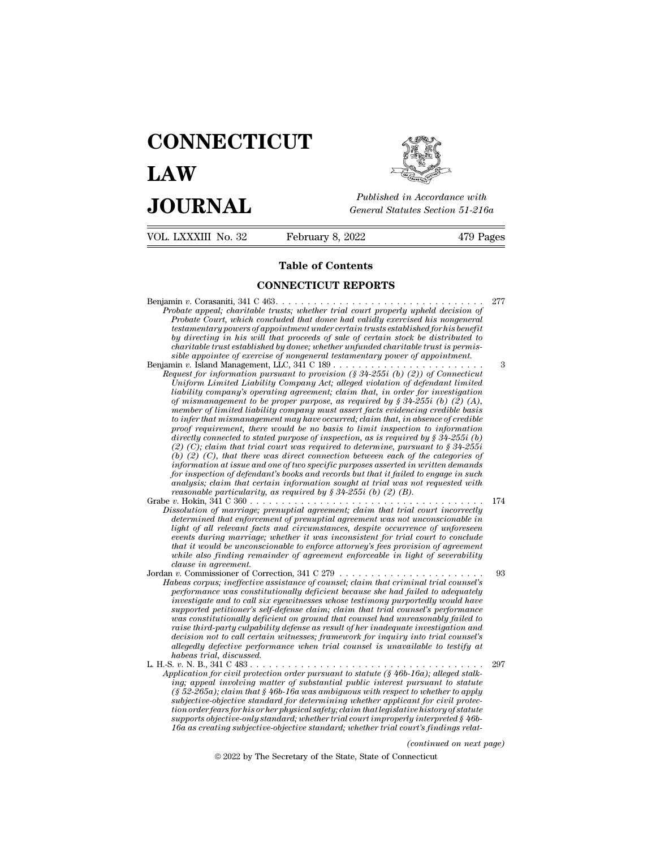## **CONNECTICUT LAW PUBLICE CONNECTICUT**<br> **Published in Accordance with**<br> **JOURNAL** *General Statutes Section 51-216a*<br> **Published in Accordance with** VOL. LXXXIII No. 32 February 8, 2022 479 Pages



| <b>JOURNAL</b>      | Published in Accordance with<br>General Statutes Section 51-216a                   |           |
|---------------------|------------------------------------------------------------------------------------|-----------|
| VOL. LXXXIII No. 32 | February 8, 2022                                                                   | 479 Pages |
|                     | <b>Table of Contents</b>                                                           |           |
|                     | <b>CONNECTICUT REPORTS</b>                                                         |           |
|                     | Duchate anneal, chanitable tweeter whather twial count numerals unheld decision of | -277      |

Benjamin *<sup>v</sup>*. Corasaniti, 341 C 463. . . . . . . . . . . . . . . . . . . . . . . . . . . . . . . . . <sup>277</sup> **Probate appealing appearing CONNECTICUT REPORTS**<br> **Probate appeal;** charitable trusts; whether trial court properly upheld decision of<br> *Probate appeal*; charitable trusts; whether trial court properly upheld decision of<br> **Probate Concluded that Concluded that done for the concluded that done for the concluded that done had validly exercised his nongeneral contract probate Court, which concluded that donee had validly exercised his nongener the of Contents<br>
CONNECTICUT REPORTS**<br> *the under appeal; charitable trusts; whether trial court properly upheld decision of*<br> *Probate court, which concluded that donee had validly exercised his nongeneral*<br> *testamentar by directing in his will that proceeds of sale of certain stock be distributed to* **constant and the constant of the CONNECTICUT REPORTS**<br>
cobate appeal; charitable trusts; whether trial court properly upheld decision of<br>
Probate Court, which concluded that donee had validly exercised his nongeneral<br>
tes *simmeter appeal; charitable trusts; whether trial court properly upheld decision of*<br>*Probate Court, which concluded that donee had validly exercised his nongeneral*<br>*testamentary powers of appointment under certain trust* Benjamin *v.* Island Management, LLC, 341 C 189 . . . . . . . . . . . . . . . . . . . . . . . . <sup>3</sup> *Probate appeal; charitable trusts; whether trial court property upheld decision of*<br>*Probate Court, which concluded that donee had validly exercised his nongeneral<br>testamentary powers of appointment under certain trusts e Probate Court, which concluded that donee had validly exercised his nongeneral*<br>*Uniform Limited In this will that proceeds of sale of certain stock be distributed to*<br>*bharitable trust established by donee; whether unfun* 

*lestamentary powers of appointment under certain trusts established for his benefit*<br>by directing in his will that proceeds of sale of certain stock be distributed to<br>charitable trust established by donee; whether unfunde *oy arrecting in his will that proceeds of sale of certain stock be distributed to*<br>charitable trust established by donee; whether unfinded charitable trust is permis-<br>sible appointee of exercise of nongeneral testamentar *chartiable trust established by donee; whether unfunded chartiable trust is permissible appointee of exercise of nongeneral testamentary power of appointment.*  $3$  and Management, LLC,  $341$ C  $189$ ....................... *to infer that mismanagement may have occurred; claim that, in absence of credible paraf for information pursuant to provision (§ 34-255i* (*b*) (2)) of Connecticut quest for information pursuant to provision (§ 34-255i (*b*) (2)) of Connecticut Uniform Limited Unibility Company's operating agreement; *diability comparison pursuant to provision* (§ 34-255i (b) (2)) of Connecticut<br>Uniform Limited Liability Company Act; alleged violation of defendant limited<br>liability company's operating agreement; claim that, in order f *Uniform Limited Liability Company Act*; alleged violation of defendant limited<br>
liability company's operating agreement; claim that, in order for investigation<br>
of mismanagement to be proper purpose, as required by § 34-2 *(b)* (a) that there we are there we are there we are there is the proper purpose, as required by § 34-255i (b) (2) (A), member of limited liability company must assert facts evidencing credible basis to infer that misman member of limited liability company must assert facts evidencing credible basis<br>to infer that mismanagement may have occurred; claim that, in absence of credible<br>proof requirement, there would be no basis to limit inspect *for inspection of transmagement may have occurred; claim that, in absence of credible to infer that mismanagement may have occurred; claim that, in absence of credible directly connected to stated purpose of inspection, a* to infer that mismanagement may have occurred; claim that, in absence of credible<br>proof requirement, there would be no basis to limit inspection to information<br>directly connected to stated purpose of inspection, as is req *reasonable particularity, there would be no basis to timit inspection to* directly connected to stated purpose of inspection, as is required by  $(\hat{a})$  (C); claim that trial court was required to determine, pursuant (b) arrectly connected to stated purpose of inspection, as is required by  $\S$  34-2551 (b) (2) (C); claim that trial court was required to determine, pursuant to  $\S$  34-2551 (b) (c), that there was direct connection between ea (2) (C); claim that trial court was required to determine, pursuant to  $\S 34-255i$ <br>
(b) (2) (C), that there was direct connection between each of the categories of<br>
information at issue and one of two specific purposes as *(b)* (2) (C), that there was direct connection between each of the categories of information at issue and one of two specific purposes asserted in written demands for inspection of defendant's books and records but that

*light of all relevant and one of two spectic purposes asserted in written demands*<br>for inspection of defendant's books and records but that it failed to engage in such<br>analysis; claim that certain information sought at tr *for unspection of defendant's books and records but that it failed to engage in such analysis; claim that certain information sought at trial was not requested with reasonable particularity, as required by*  $\S$  *34-255i (b) that it would be unconscionable to enforce attorney's fees provision of agreement while also finding remainder of agreement enforceable in light of severability c*. Hokin, 341 C 360 . . . .<br>*csolution of marriage; praidetermined that enforcement-<br><i>dight of all relevant facts*<br>*events during marriage; i*<br>*that it would be unconscio*<br>*while also finding remain*<br>*clause in agreement* Dissolution of marriage; prenupital agreement; claim that trial court incorrectly<br>determined that enforcement of prenupital agreement was not unconscionable in<br>light of all relevant facts and circumstances, despite occurre determined that enforcement of prenuptial agreement was not unconscionable in<br>light of all relevant facts and circumstances, despite occurrence of unforeseen<br>events during marriage; whether it was inconsistent for trial co *performance was constitutionally deficient consistent for trial court to conclude that it would be unconscionable to enforce attorney's fees provision of agreement that it ivalid be unconscionable to enforce attorney's fe* 

*inversion and the unconscionable to enforce attorney's fees provision of agreement*<br> *invible also finding remainder of agreement enforceable in light of severability*<br> *invible also finding remainder of agreement enforce sthat it would be unconscronable to enforce attorney's fees provision of agreement*<br>claims in agreement.<br>The supprement enforceable in light of severability<br> $\alpha$  is commissioner of Correction, 341 C 279 . . . . . . . . . *while also finding remainder of agreement enforceable in light of severability*<br>
clause in agreement.<br> *w.* Commissioner of Correction, 341 C 279<br> *wheas corpus; ineffective assistance of counsel; claim that criminal tria raise in agreement.*<br> *r r*, Commissioner of Correction, 341 C 279<br> *performance was constitutionally deficient because she had failed to adequately<br>
<i>investigate and to call six eyewitnesses whose testimony purportedly deas corpus; ineffective assistance of counsel,*  $\frac{341 \text{ C} 279 \ldots \text{C} i}{241 \text{ m}}$  into triminal trial counsel's performance was constitutionally deficient because she had failed to adequately performance was constituti *aloeas corpus; ineffective assistance of counsel; claim that criminal trial counsel's*<br>performance was constitutionally deficient because she had failed to adequately<br>investigate and to call six eyewitnesses whose testimo *herformance was constitution<br>investigate and to call six eyerported petitioner's self-deparamens was constitutionally deficien*<br>raise third-party culpability decision not to call certain u<br>allegedly defective performan<br>ha moestigate and to call six eyewitnesses whose testimony purportedly would have<br>supported petitioner's self-defense claim; claim that trial counsel's performance<br>was constitutionally deficient on ground that counsel had unr *Approved petitionally deficient on ground that counsel had unreasonably failed to raise third-party culpability defense as result of her inadequate investigation and decision not to call certain witnesses; framework for i ing; appeal involving depection* of substantial public interesting in the substantial properties third-party culpability defense as result of her inadequate investigation and decision not to call certain witnesses; framew

*faise third-party culpability defense as result of her inadequate investigation and decision not to call certain witnesses; framework for inquiry into trial counsel's allegedly defective proformance when trial counsel is subjective-objective standard for determining whether applicant for civil protection order fears for his or her physical safety; claim that legislative history of statute supports objective-only standard; whether trial court improperly interpreted § 46b-16a as creating matter of substantial public interest pursuant to statute* (§ 46b-16a); alleged stalking; appeal involving matter of substantial public interest pursuant to statute ing; appeal involving matter of substant pursuant to statute<br>to whether to apply<br>ant for civil protec-<br>ive history of statute<br>ly interpreted § 46b-<br>urt's findings relat-<br>(continued on next page)<br>necticut ( $\S$  52-265a); claim that  $\S$  46b-16a was ambiguous with respect to whether to apply<br>subjective-objective standard for determining whether applicant for civil protec-<br>tion order fears for his or her physical safety; claim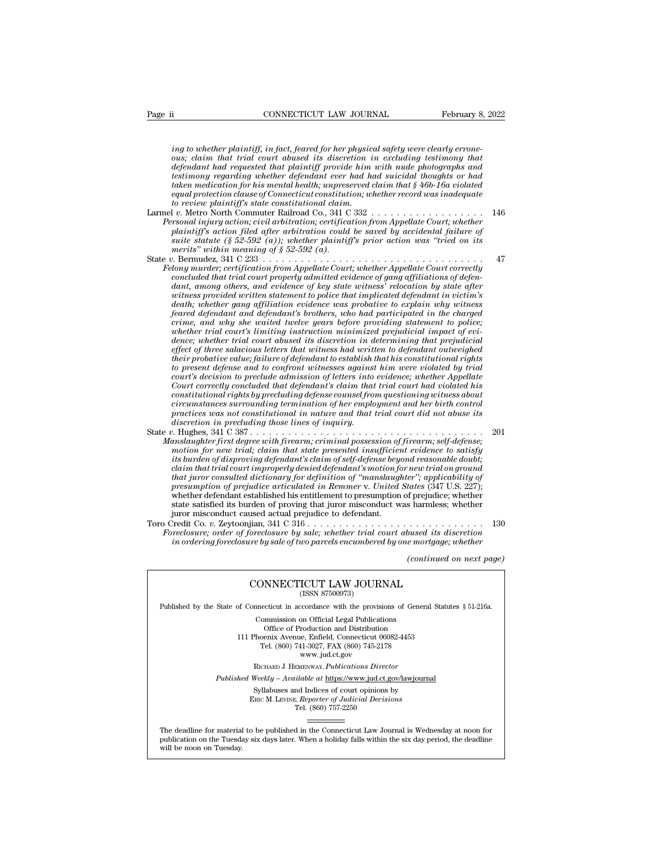*i*<br> *i*ng to whether plaintiff, in fact, feared for her physical safety were clearly errone-<br> *ing to whether plaintiff, in fact, feared for her physical safety were clearly errone-*<br> *ous; claim that trial court abused i connecticut LAW JOURNAL* February 8, 2022<br>*ing to whether plaintiff, in fact, feared for her physical safety were clearly errone-*<br>*ous; claim that trial court abused its discretion in excluding testimony that*<br>*defendant defendant had requested that plaintiff provide him with nude photographs and term* is a commentant of the matter of the method of the method in the the plaintiff, in fact, feared for her physical safety were clearly errone-<br>ous; claim that trial court abused its discretion in excluding testimony t *taken mediation for her physical safety were clearly errone-*<br> *taken mediation for health; in fact, feared for her physical safety were clearly errone-*<br> *defendant had requested that plaintiff provide him with nude phot ing to whether plaintiff, in fact, feared for her physical safety were clearly errone-*<br>ous; claim that trial court abused its discretion in excluding testimony that<br>defendant had requested that plaintiff provide him with *to the review plaintiff, in fact, feared for her physic*<br>cous; claim that trial court abused its discretion in<br>defendant had requested that plaintiff provide him<br>testimony regarding whether defendant ever had ha<br>daken med *value of the matrix in the trail court abused its discretion in excluding testimony that*<br>defendant had requested that plaintiff provide him with nude photographs and<br>testimony regarding whether defendant ever had had sui *Personal industrial court abused its discretion in excluding testimony that*<br>defendant had requested that plaintiff provide him with nude photographs and<br>testimony regarding whether defendant ever had had suicidal thought

- *aegenaant naa requestea that plannty provide nim with nade photographs and*<br>testimony regarding whether defendant ever had had suicidal thoughts or had<br>taken medication for his mental health; unpreserved claim that § 46b*sumomy regaraing whether aegenaant ever had had suicidal inoughts or had aftaken medication for his mental health; unpreserved claim that § 46b-16a violated equal protection clause of Connecticut constitution; whether rec equal protection clause of Connecticut constitution; whether record was inadequate*<br>to review plaintiff's state constitutional claim.<br>Larmel v. Metro North Commuter Railroad Co., 341 C 332<br>*Personal injury action, civil a* equal protection clause of Connectical constitution, whether record was inadequate<br>to review plaintiff's state constitutional claim.<br>Larmel v. Netro North Commuter Railroad Co., 341 C 332<br>Personal injury action, civil arbi *Felony murder; certification from Appellate Court Communisty at the Nersonal injury action, civil arbitration, certification from Appellate Court; whether plaintiff's action filed after arbitration could be saved by accid*
- *Personal injury action, civil arbitration, certification from Appellate Court; whether*<br>plaintiff's action filed after arbitration could be saved by accidental failure of<br>suite statute (§ 52-592 (a)), whether plaintiff's *dantiff's action filed after arbitration, certification from Appellate Court, whether*<br>plaintiff's action filed after arbitration could be saved by accidental failure of<br>surie statute (§ 52-592 (a); whether plaintiff's pr *wannuys action jued after arouration could be saved by accudental jaunre of* size that it statute (§ 52-592 (a)); whether plaintiff's prior action was "tried on its merits" within meaning of § 52-592 (a).<br> *werits" within death; whether gang affiliation evidence was probative to explain why witness feared defendant and defendant in meaning of social and the charge defendant, and Camparent certification from Appellate Court, whether Appellate Court correctly dominated that trial court properly admitted evidence of ga crime, and C 233 contracted the court, whether Appellate Court correctly concluded that trial court properly admitted evidence of gang affiliations of defendant, among others, and evidence of key state witness' reloca whether trial court prom Appellate Court; whether Appellate Court correctly concluded that trial court properly admitted evidence of gang affiliations of defendant, among others, and evidence of key state witness' relocat dant, among others, and evidence of key state witness' relocation by state after witness provided written statement to police that implicated defendant in victim's death; whether gang affiliation evidence was probative to dant, among others, and evidence of key state witness' relocation by state after<br>witness provided written statement to police that implicated defendant in victim's<br>death; whether gang affiliation evidence was probabilie t tuntness provided written statement to police that implicated defendant in victims*<br>death; whether gang affiliation evidence was probative to explain why witness<br>feared defendant and defendant's brothers, who had particip *death*, whether gang affiliation evidence was probative to explain why witness<br>feared defendant and defendant's brothers, who had participated in the charged<br>crime, and why she waited twelve years before providing stateme *corred defendant and defendant's brothers, who had participated in the charged* crime, and why she waited twelve years before providing statement to police; whether trial court's limiting instruction minimized prejudicial *Crime, and why she waited twetve years before providing statement to police;*<br>whether trial court's limiting instruction minimized prejudicial impact of evi-<br>dence; whether trial court abused its discretion in determining whether trial court's limiting instruction minimized prepudicial impact of evidence; whether trial court abused its discretion in determining that prejudicial effect of three salacious letters that witness had written to d *chence; whether trad court abused its discretion in determining that prepudicial* their probative value; failure of defendant oscablish that in is constitutional rights to present defense and to confront witnesses against *effect of three salacious letters that witness had written to defendant outweighed*<br>their probative value; failure of defendant to establish that his constitutional rights<br>to present defense and to confront witnesses agai *to present defense and to confront witnesses against him were violated by trial court's decision to preclude admission of letters into evidence; whether Appellate Court correctly concluded that defendant's claim that tria* to present agense and to conyront witnesses against time were violated by trial<br>court's decision to preclude admission of letters into evidence; whether Appellate<br>Court correctly concluded that defendant's claim that trial *Court's aecision to preculae aamission of letters into eviaence; whether Appelate*<br> *Court correctly concluded that defendant's claim that trial court had violated his*<br> *constitutional rights by precluding defense counse* Court correctly concluded that defendant's claim that trial court had violated his<br>circumstantional rights by precluding defense coursed from questioning witness about<br>circumstances surrounding termination of her employmen
- *constitutional rights by precudang defense counsel from questioning witness about<br>circumstances surrounding termination of her employment and her birth control<br>practices was not constitutional in nature and that trial cou circumstances surrounaing termination of ner employment and ner orin control*<br>*practices was not constitutional in nature and that trial court did not abuse its<br>discretion in precluding those lines of inquiry.*<br>*n. Hughes that juror consulted dictionary for definition of ''manslaughter''; applicability of presumption of preculation of the interimal prosecution of preducing any articulation for new trial; chain that state presented insufficient evidence to satisfy motion for new trial; claim that state presented insufficien* whether first degree with firearm; criminal possession of firearm; self-defense;<br>motion for new trial; claim that state presented insufficient evidence to satisfy<br>its burden of disproving defendant's claim of self-defense instaughter first degree with firearm; criminal possession of firearm; self-defense;<br>motion for new trial; claim that state presented insufficient evidence to satisfy<br>its burden of disproving defendant's claim of self-defe motion for new trial; claim that state presented insufficies<br>its burden of disproving defendant's claim of self-defense bey<br>claim that trial count improperly denied defendant's motion for<br>that juror consulted dictionary f *vis ourden of assprooving defendant s* carm of seq-defense beyond reasonable doubl;<br>
claim that intrial court improperly denied defendant's motion for new trial on ground<br>
that juror consulted dictionary for definition of *Foreclosure; order of foreclosure by sale; whether incordinal court abused dictionary for definition of "manslaughter"; applicability of presumption of prejudice articulated in Remmer v. United States (347 U.S. 227); whet indi juror consulted accitomary for definition of "mansiaughter"; appicability of prejudice articulated in Remmer v. United States (347 U.S. 227);*<br>whether defendant established his entitlement to presumption of prejudice *f* prejudice; whether<br> *c* harmless; whether<br> *continued its discretion*<br> *e mortgage; whether*<br> *(continued on next page)*

CONNECTICUT LAW JOURNAL in ordering foreclosure by sale of two parcels encumbered by one mortgage; whether<br>(continued on next<br>CONNECTICUT LAW JOURNAL<br>(ISSN 87500973)

# CONNECTICUT LAW JOURNAL<br>
(ISSN 87500973)<br>
inecticut in accordance with the provisions of Gener<br>
Commission on Official Legal Publications<br>
Office of Production and Distribution<br>
office of Production and Distribution

 $\begin{tabular}{l|l|l} \hline & (continued on next page) \\ \hline (CONNECTICUT LAW JOURNAL \\ (ISSN 87500973) \\ \hline \end{tabular}$  \hline \begin{tabular}{l|l|l|} \hline \multicolumn{3}{c}{\text{Published by the State of Connecticut in accordance with the provisions of General Statistics § 51-216a.} \\ \hline \multicolumn{3}{c}{\text{Commission on Official Legal Publications}} \\ \hline \end{tabular}

**NNECTICUT LAW JOURNAL**<br>
(ISSN 87500973)<br>
cticut in accordance with the provisions of Gener<br>
mmission on Official Legal Publications<br>
Office of Production and Distribution<br>
centra Avenue, Enfield, Connecticut 06082-4453<br>
b CONNECTICUT LAW JOURNAL<br>
(ISSN 87500973)<br>
of Connecticut in accordance with the provisions of General Statu<br>
Commission on Official Legal Publications<br>
Office of Production and Distribution<br>
111 Phoenix Avenue, Enfield, Co (ISSN 87500973)<br>ecticut in accordance with the provisions of Gener<br>ommission on Official Legal Publications<br>Office of Production and Distribution<br>oenix Avenue, Enfield, Connecticut 06082-4453<br>Tel. (860) 741-3027, FAX (860 reordance with the provision<br>on Official Legal Publication<br>roduction and Distribution<br>e, Enfield, Connecticut 06<br>11-3027, FAX (860) 745-21'<br>www.jud.ct.gov<br>zENWAY, *Publications Dire* Rommission on Official Legal Publications<br>
Office of Production and Distribution<br>
Phoenix Avenue, Enfield, Connecticut 06082-4453<br>
Tel. (860) 741-3027, FAX (860) 745-2178<br>
www.jud.ct.gov<br>
RICHARD J. HEMENWAY, *Publications* Office of Production and Distribution<br>
111 Phoenix Avenue, Enfield, Connecticut 06082-4453<br>
Tel. (860) 741-3027, FAX (860) 745-2178<br>
www.jud.ct.gov<br>
RICHARD J. HEMENWAY, *Publications Director*<br> *Published Weekly – Availab* Phoenix Avenue, Enfield, Connecticut 06082-4453<br>
Tel. (860) 741-3027, FAX (860) 745-2178<br>
www.jud.ct.gov<br>
RICHARD J. HEMENWAY, *Publications Director*<br>
Weekly – Available at <u>https://www.jud.ct.gov/lawjourna</u><br>
Syllabuses a

 $\begin{array}{c} \text{www. jud.ct.gov} \\ \text{RICHARD J. HEMENTway, *Publications Director} \\ \text{Weekly -- Available at \underline{https://www.jud.ct.gov/}{\text{Syllabuses and Indices of court opinions by} \\ \text{Enc}\text{ M. LexING. } \text{Reporter of \text{Judicial Decisions} \\ \text{Tel. } (860) 757-2250 \end{array}*$ 

Published Weekly – Available at https://www.jud.ct.gov/lawjournal<br>Syllabuses and Indices of court opinions by<br>ERIC M. LEVINE, Reporter of Judicial Decisions<br>The deadline for material to be published in the Connecticut Law  $\begin{tabular}{l} \bf Syllabuses\ and\ Indices\ of\ court\ opinions\ by\\ \bf Enc\ M.\ LevINE,\ \textit{Reporter of\ Judicial\ Decisions}\\ \bf Tel.\ (860)\ 757-2250\\ \end{tabular}$  <br> The deadline for material to be published in the Connecticut Law Journal is Wednesday at noon for publication on the Tuesday six days later The deadline for material<br>publication on the Tuesday.<br>will be noon on Tuesday.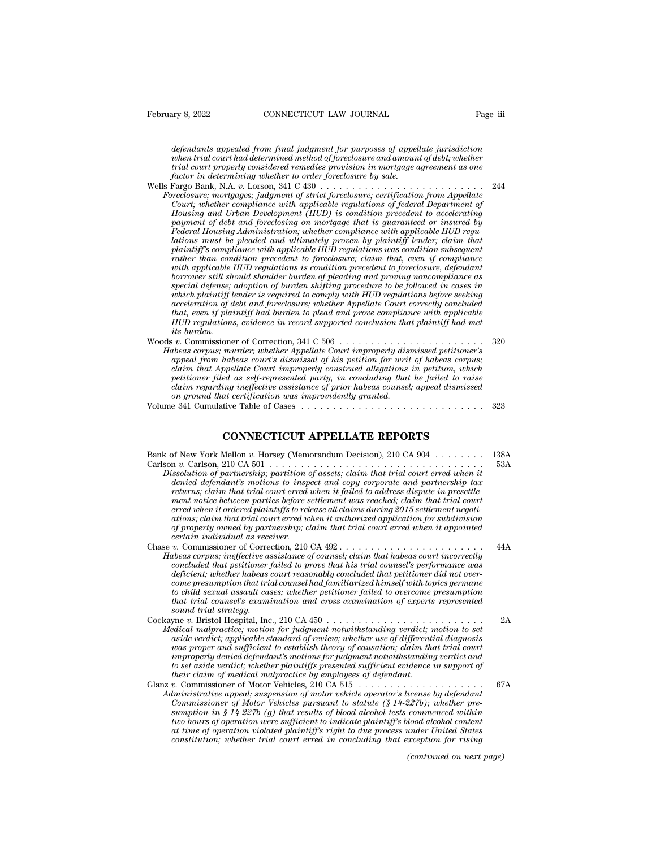*defendants appealed from final judgment for purposes of appellate jurisdiction*<br>*defendants appealed from final judgment for purposes of appellate jurisdiction*<br>*when trial court had determined method of foreclosure and a when trial court of trial court of trial court had defendants appealed from final judgment for purposes of appellate jurisdiction*<br>*defendants appealed from final judgment for purposes of appellate jurisdiction*<br>*trial co trial court properly considered from final judgment for purposes of appellate jurisdiction*<br>*tefendants appealed from final judgment for purposes of appellate jurisdiction*<br>*when trial court had determined method of forec factor in determining to CONNECTICUT LAW JOURNAL*<br>*factor in defendants appealed from final judgment for purposes of appel<br>when trial court had determined method of foreclosure and amoun<br>frial court properly considered re* defendants appealed from final judgment for purposes of appellate jurisdiction<br>when trial court had determined method of foreclosure and amount of debt; whether<br>trial court properly considered remedies provision in mortgag *defendants appealed from final judgment for purposes of appellate jurisdiction*<br>when trial court had determined method of foreclosure and amount of debt; whether<br>trial court properly considered remedies provision in mortg

*Court; defendants appealed from final judgment for purposes of appellate jurisdiction*<br> *Court incleae with a determined method of foreclosure and amount of debt; whether*<br> *Court in determining whether to order foreclosu defendants appeated from final fudgment for purposes of appeatee furial court had determined method of forcelosure and amount of debt, whether trial court poperly considered remedies provision in mortgage agreement as one payment trad court nad determined method of Joreclosure and amount of deot; whether fraid court properly considered remedies provision in mortgage agreement as one factor in determining whether to order foreclosure by sal Federal Housing Administration; whether compliance with applicable HUD regulation in determining unether to order joreclosure by sale.*<br> *Pargo Bank, N.A. v. Lorson, 341 C 430 and the consideration from Appellate recolosure; mortgages; jadgment of strict foreclosure; certification from Appellate plaintiff's compliance with applicable HUD regulations was condition subsequent reclosure; mortgages; judgment of strict foreclosure; certification from Appellate Court; whether compliance with applicable regulations of federal Department of Housing and Urban Development (HUD) is condition precedent* Court; whether compliance with applicable regulations of federal Department of Housing and Urban Development (HUD) is condition precedent to accelerating payment of debt and foreclosing on mortgage that is guaranteed or in payment of debt and foreclosing on mortgage that is guaranteed or insured by<br>*Federal Housing Administration; whether compliance with applicable HUD regulations must be pleaded and ultimately proven by plaintiff lender; cl* payment of debt and foreclosing on mortgage that is guaranteed or insured by<br>Federal Housing Administration; whether compliance with applicable HUD regu-<br>lations must be pleaded and ultimately proven by plaintiff lender; c *Federal Housing Administration, whether compliance with applicable HUD regulations must be pleaded and ultimately proven by plaintiff lender; claim that plaintiff's compliance with applicable HUD regulations was condition* dations must be pleaded and ultimately proven by plaintiff lender; claim that<br>plaintiff's compliance with applicable HUD regulations was condition subsequent<br>rather than condition precedent to foreclosure; claim that, even plantiff's compliance with applicable HUD regulations was condition subsequent<br>rather than condition precedent to foreclosure; claim that, even if compliance<br>with applicable HUD regulations is condition precedent to forecl *Hum condition precedent to foreclosure; claim that, even if compliance* with applicable HUD regulations is condition precedent to foreclosure, defendant borrower still should shoulder burden of plading and proving noncomp *ivalua applicable 1*<br>*borrower still shepse;*<br>*ivalua defense;*<br>*inceleration of d*<br>*its burden.*<br>*its burden.*<br>*ivaluas cormus: mu*<br>*pheas cormus: mu*<br>*musis*. Frower stut should shoulder ourden by pleading and proving noncomplaince as in<br>special defense; adoption of burden shifting procedure to be followed in cases in<br>which plaintiff lender is required to comply with HUD regulat *Habeas corpus; murder; whether Appellate Court improperly with HUD regulations before seeking*<br>acceleration of debt and foreclosure; whether Appellate Court correctly concluded<br>that, even if plaintiff had burden to plead

*appearing tender* is required to compty with HOD regulations before seeking<br>acceleration of debt and forcelosure; whether Appellate Court correctly concluded<br>that, even if plaintiff had burden to plead and prove complianc *cceleration of aeot and forecosure; whether Appellate Court correctly concluded*<br>*chat, even if plaintiff had burden to plead and prove compliance with applicable*<br>*HUD regulations, evidence in record supported conclusion petitioner is partitioner in record supported conclusion that plaintiff had met*<br>*pHD regulations, evidence in record supported conclusion that plaintiff had met*<br>*its burden.*<br>*iv.* Commissioner of Correction, 341 C 506 *claim regulations, evidence in record supported conclusion that plantity had met*<br> *its burden.*<br> *its burden.*<br> *claim that Appellate court's dismissal of his petition for writ of habeas corpus;*<br> *claim that Appellate C on ground that certification was improvidently granted.* Volume 341 Cumulative Table of Cases . . . . . . . . . . . . . . . . . . . . . . . . . . . . . <sup>323</sup> *Ahabeas court's dismissal of his petition for writ of habeas corpus;*<br>the popellate Court improperly construed allegations in petition, which<br>ed as self-represented party, in concluding that he failed to raise<br>ing ineffec

| on ground that certification was improvidently granted.                                                                                                                                                                                                                                                                                                                                                                                                                                                                                                                                                                                                                                                                           | 323         |
|-----------------------------------------------------------------------------------------------------------------------------------------------------------------------------------------------------------------------------------------------------------------------------------------------------------------------------------------------------------------------------------------------------------------------------------------------------------------------------------------------------------------------------------------------------------------------------------------------------------------------------------------------------------------------------------------------------------------------------------|-------------|
| <b>CONNECTICUT APPELLATE REPORTS</b>                                                                                                                                                                                                                                                                                                                                                                                                                                                                                                                                                                                                                                                                                              |             |
| Bank of New York Mellon v. Horsey (Memorandum Decision), 210 CA 904<br>Dissolution of partnership; partition of assets; claim that trial court erred when it<br>denied defendant's motions to inspect and copy corporate and partnership tax<br>returns; claim that trial court erred when it failed to address dispute in presettle-<br>ment notice between parties before settlement was reached; claim that trial court<br>erred when it ordered plaintiffs to release all claims during 2015 settlement negoti-<br>ations; claim that trial court erred when it authorized application for subdivision<br>of property owned by partnership; claim that trial court erred when it appointed<br>certain individual as receiver. | 138A<br>53A |
| Habeas corpus; ineffective assistance of counsel; claim that habeas court incorrectly<br>concluded that petitioner failed to prove that his trial counsel's performance was<br>deficient; whether habeas court reasonably concluded that petitioner did not over-<br>come presumption that trial counsel had familiarized himself with topics germane<br>to child sexual assault cases; whether petitioner failed to overcome presumption<br>that trial counsel's examination and cross-examination of experts represented<br>sound trial strategy.                                                                                                                                                                               | 44A         |
| Medical malpractice; motion for judgment notwithstanding verdict; motion to set<br>aside verdict; applicable standard of review; whether use of differential diagnosis<br>was proper and sufficient to establish theory of causation; claim that trial court<br>improperly denied defendant's motions for judgment notwithstanding verdict and<br>to set aside verdict; whether plaintiffs presented sufficient evidence in support of<br>their claim of medical malpractice by employees of defendant.                                                                                                                                                                                                                           | 2A          |
| Administrative appeal; suspension of motor vehicle operator's license by defendant<br>Commissioner of Motor Vehicles pursuant to statute $(\S 14-227b)$ ; whether pre-<br>sumption in § 14-227b (g) that results of blood alcohol tests commenced within<br>two hours of operation were sufficient to indicate plaintiff's blood alcohol content<br>at time of operation violated plaintiff's right to due process under United States<br>constitution; whether trial court erred in concluding that exception for rising                                                                                                                                                                                                         | 67A         |
| (continued on next page)                                                                                                                                                                                                                                                                                                                                                                                                                                                                                                                                                                                                                                                                                                          |             |